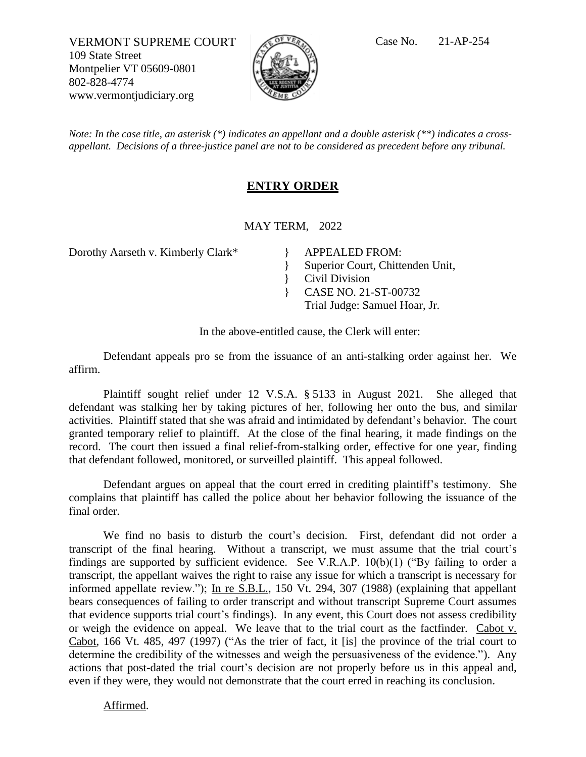VERMONT SUPREME COURT  $\sqrt{C}$ <sup>of *VER*</sup> Case No. 21-AP-254 109 State Street Montpelier VT 05609-0801 802-828-4774 www.vermontjudiciary.org



*Note: In the case title, an asterisk (\*) indicates an appellant and a double asterisk (\*\*) indicates a crossappellant. Decisions of a three-justice panel are not to be considered as precedent before any tribunal.*

## **ENTRY ORDER**

MAY TERM, 2022

}

Dorothy Aarseth v. Kimberly Clark\* APPEALED FROM:

} Superior Court, Chittenden Unit,

Civil Division

} CASE NO. 21-ST-00732

Trial Judge: Samuel Hoar, Jr.

In the above-entitled cause, the Clerk will enter:

Defendant appeals pro se from the issuance of an anti-stalking order against her. We affirm.

Plaintiff sought relief under 12 V.S.A. § 5133 in August 2021. She alleged that defendant was stalking her by taking pictures of her, following her onto the bus, and similar activities. Plaintiff stated that she was afraid and intimidated by defendant's behavior. The court granted temporary relief to plaintiff. At the close of the final hearing, it made findings on the record. The court then issued a final relief-from-stalking order, effective for one year, finding that defendant followed, monitored, or surveilled plaintiff. This appeal followed.

Defendant argues on appeal that the court erred in crediting plaintiff's testimony. She complains that plaintiff has called the police about her behavior following the issuance of the final order.

We find no basis to disturb the court's decision. First, defendant did not order a transcript of the final hearing. Without a transcript, we must assume that the trial court's findings are supported by sufficient evidence. See V.R.A.P. 10(b)(1) ("By failing to order a transcript, the appellant waives the right to raise any issue for which a transcript is necessary for informed appellate review."); In re S.B.L., 150 Vt. 294, 307 (1988) (explaining that appellant bears consequences of failing to order transcript and without transcript Supreme Court assumes that evidence supports trial court's findings). In any event, this Court does not assess credibility or weigh the evidence on appeal. We leave that to the trial court as the factfinder. Cabot v. Cabot, 166 Vt. 485, 497 (1997) ("As the trier of fact, it [is] the province of the trial court to determine the credibility of the witnesses and weigh the persuasiveness of the evidence."). Any actions that post-dated the trial court's decision are not properly before us in this appeal and, even if they were, they would not demonstrate that the court erred in reaching its conclusion.

Affirmed.